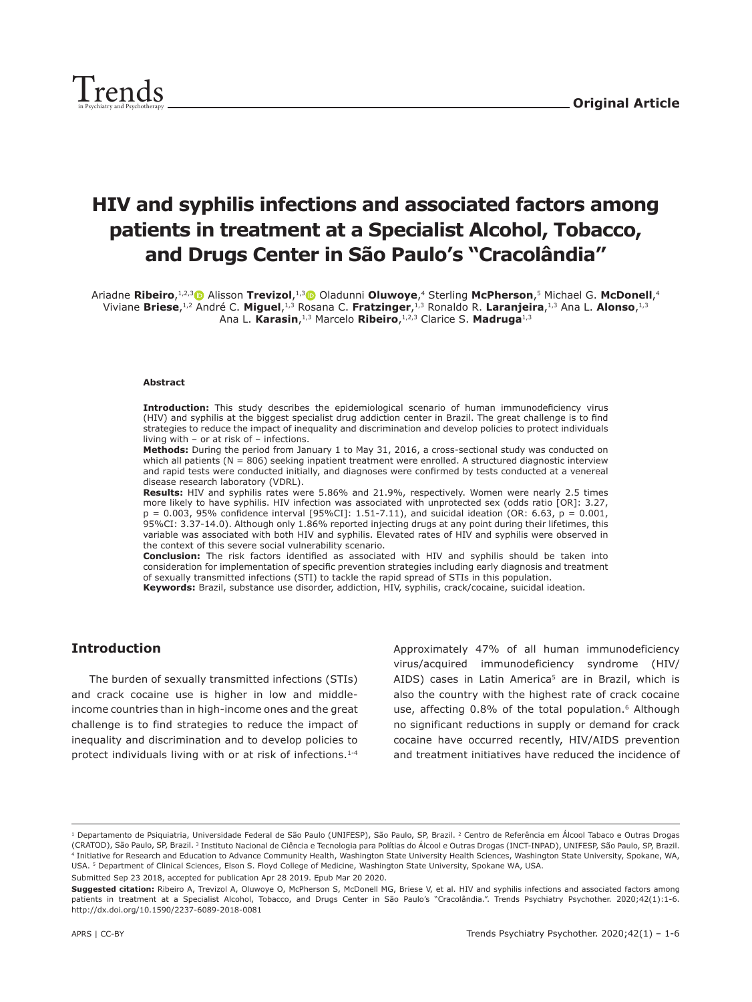# **HIV and syphilis infections and associated factors among patients in treatment at a Specialist Alcohol, Tobacco, and Drugs Center in São Paulo's "Cracolândia"**

Ariadne **Ribeiro**,1,2,[3](https://orcid.org/0000-0001-7608-4288) Alisson **Trevizol**,1,[3](https://orcid.org/0000-0002-6065-9355) Oladunni **Oluwoye**,4 Sterling **McPherson**,5 Michael G. **McDonell**,4 Viviane **Briese**,1,2 André C. **Miguel**,1,3 Rosana C. **Fratzinger**,1,3 Ronaldo R. **Laranjeira**,1,3 Ana L. **Alonso**,1,3 Ana L. **Karasin**,1,3 Marcelo **Ribeiro**,1,2,3 Clarice S. **Madruga**1,3

#### **Abstract**

**Introduction:** This study describes the epidemiological scenario of human immunodeficiency virus (HIV) and syphilis at the biggest specialist drug addiction center in Brazil. The great challenge is to find strategies to reduce the impact of inequality and discrimination and develop policies to protect individuals living with – or at risk of – infections.

**Methods:** During the period from January 1 to May 31, 2016, a cross-sectional study was conducted on which all patients (N = 806) seeking inpatient treatment were enrolled. A structured diagnostic interview and rapid tests were conducted initially, and diagnoses were confirmed by tests conducted at a venereal disease research laboratory (VDRL).

Results: HIV and syphilis rates were 5.86% and 21.9%, respectively. Women were nearly 2.5 times more likely to have syphilis. HIV infection was associated with unprotected sex (odds ratio [OR]: 3.27,  $p = 0.003$ , 95% confidence interval [95%CI]: 1.51-7.11), and suicidal ideation (OR: 6.63,  $p = 0.001$ , 95%CI: 3.37-14.0). Although only 1.86% reported injecting drugs at any point during their lifetimes, this variable was associated with both HIV and syphilis. Elevated rates of HIV and syphilis were observed in the context of this severe social vulnerability scenario.

**Conclusion:** The risk factors identified as associated with HIV and syphilis should be taken into consideration for implementation of specific prevention strategies including early diagnosis and treatment of sexually transmitted infections (STI) to tackle the rapid spread of STIs in this population. **Keywords:** Brazil, substance use disorder, addiction, HIV, syphilis, crack/cocaine, suicidal ideation.

# **Introduction**

The burden of sexually transmitted infections (STIs) and crack cocaine use is higher in low and middleincome countries than in high-income ones and the great challenge is to find strategies to reduce the impact of inequality and discrimination and to develop policies to protect individuals living with or at risk of infections.<sup>1-4</sup> Approximately 47% of all human immunodeficiency virus/acquired immunodeficiency syndrome (HIV/ AIDS) cases in Latin America<sup>5</sup> are in Brazil, which is also the country with the highest rate of crack cocaine use, affecting 0.8% of the total population.<sup>6</sup> Although no significant reductions in supply or demand for crack cocaine have occurred recently, HIV/AIDS prevention and treatment initiatives have reduced the incidence of

Submitted Sep 23 2018, accepted for publication Apr 28 2019. Epub Mar 20 2020.

<sup>1</sup> Departamento de Psiquiatria, Universidade Federal de São Paulo (UNIFESP), São Paulo, SP, Brazil. 2 Centro de Referência em Álcool Tabaco e Outras Drogas (CRATOD), São Paulo, SP, Brazil. 3 Instituto Nacional de Ciência e Tecnologia para Polítias do Álcool e Outras Drogas (INCT-INPAD), UNIFESP, São Paulo, SP, Brazil. 4 Initiative for Research and Education to Advance Community Health, Washington State University Health Sciences, Washington State University, Spokane, WA, USA. 5 Department of Clinical Sciences, Elson S. Floyd College of Medicine, Washington State University, Spokane WA, USA.

**Suggested citation:** Ribeiro A, Trevizol A, Oluwoye O, McPherson S, McDonell MG, Briese V, et al. HIV and syphilis infections and associated factors among patients in treatment at a Specialist Alcohol, Tobacco, and Drugs Center in São Paulo's "Cracolândia.". Trends Psychiatry Psychother. 2020;42(1):1-6. http://dx.doi.org/10.1590/2237-6089-2018-0081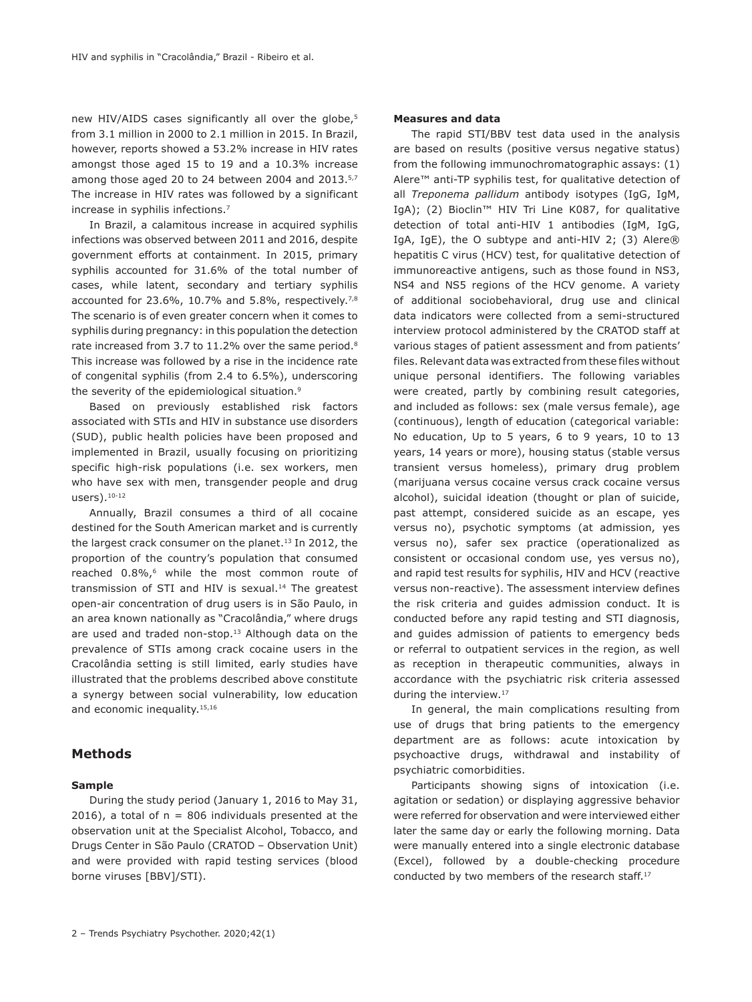new HIV/AIDS cases significantly all over the globe,<sup>5</sup> from 3.1 million in 2000 to 2.1 million in 2015. In Brazil, however, reports showed a 53.2% increase in HIV rates amongst those aged 15 to 19 and a 10.3% increase among those aged 20 to 24 between 2004 and 2013.5,7 The increase in HIV rates was followed by a significant increase in syphilis infections.7

In Brazil, a calamitous increase in acquired syphilis infections was observed between 2011 and 2016, despite government efforts at containment. In 2015, primary syphilis accounted for 31.6% of the total number of cases, while latent, secondary and tertiary syphilis accounted for 23.6%, 10.7% and 5.8%, respectively.<sup>7,8</sup> The scenario is of even greater concern when it comes to syphilis during pregnancy: in this population the detection rate increased from 3.7 to 11.2% over the same period.<sup>8</sup> This increase was followed by a rise in the incidence rate of congenital syphilis (from 2.4 to 6.5%), underscoring the severity of the epidemiological situation.9

Based on previously established risk factors associated with STIs and HIV in substance use disorders (SUD), public health policies have been proposed and implemented in Brazil, usually focusing on prioritizing specific high-risk populations (i.e. sex workers, men who have sex with men, transgender people and drug users).10-12

Annually, Brazil consumes a third of all cocaine destined for the South American market and is currently the largest crack consumer on the planet.<sup>13</sup> In 2012, the proportion of the country's population that consumed reached 0.8%,<sup>6</sup> while the most common route of transmission of STI and HIV is sexual.<sup>14</sup> The greatest open-air concentration of drug users is in São Paulo, in an area known nationally as "Cracolândia," where drugs are used and traded non-stop.<sup>13</sup> Although data on the prevalence of STIs among crack cocaine users in the Cracolândia setting is still limited, early studies have illustrated that the problems described above constitute a synergy between social vulnerability, low education and economic inequality.<sup>15,16</sup>

## **Methods**

#### **Sample**

During the study period (January 1, 2016 to May 31, 2016), a total of  $n = 806$  individuals presented at the observation unit at the Specialist Alcohol, Tobacco, and Drugs Center in São Paulo (CRATOD – Observation Unit) and were provided with rapid testing services (blood borne viruses [BBV]/STI).

#### **Measures and data**

The rapid STI/BBV test data used in the analysis are based on results (positive versus negative status) from the following immunochromatographic assays: (1) Alere™ anti-TP syphilis test, for qualitative detection of all *Treponema pallidum* antibody isotypes (IgG, IgM, IgA); (2) Bioclin™ HIV Tri Line K087, for qualitative detection of total anti-HIV 1 antibodies (IgM, IgG, IgA, IgE), the O subtype and anti-HIV 2; (3) Alere® hepatitis C virus (HCV) test, for qualitative detection of immunoreactive antigens, such as those found in NS3, NS4 and NS5 regions of the HCV genome. A variety of additional sociobehavioral, drug use and clinical data indicators were collected from a semi-structured interview protocol administered by the CRATOD staff at various stages of patient assessment and from patients' files. Relevant data was extracted from these files without unique personal identifiers. The following variables were created, partly by combining result categories, and included as follows: sex (male versus female), age (continuous), length of education (categorical variable: No education, Up to 5 years, 6 to 9 years, 10 to 13 years, 14 years or more), housing status (stable versus transient versus homeless), primary drug problem (marijuana versus cocaine versus crack cocaine versus alcohol), suicidal ideation (thought or plan of suicide, past attempt, considered suicide as an escape, yes versus no), psychotic symptoms (at admission, yes versus no), safer sex practice (operationalized as consistent or occasional condom use, yes versus no), and rapid test results for syphilis, HIV and HCV (reactive versus non-reactive). The assessment interview defines the risk criteria and guides admission conduct. It is conducted before any rapid testing and STI diagnosis, and guides admission of patients to emergency beds or referral to outpatient services in the region, as well as reception in therapeutic communities, always in accordance with the psychiatric risk criteria assessed during the interview.<sup>17</sup>

In general, the main complications resulting from use of drugs that bring patients to the emergency department are as follows: acute intoxication by psychoactive drugs, withdrawal and instability of psychiatric comorbidities.

Participants showing signs of intoxication (i.e. agitation or sedation) or displaying aggressive behavior were referred for observation and were interviewed either later the same day or early the following morning. Data were manually entered into a single electronic database (Excel), followed by a double-checking procedure conducted by two members of the research staff.17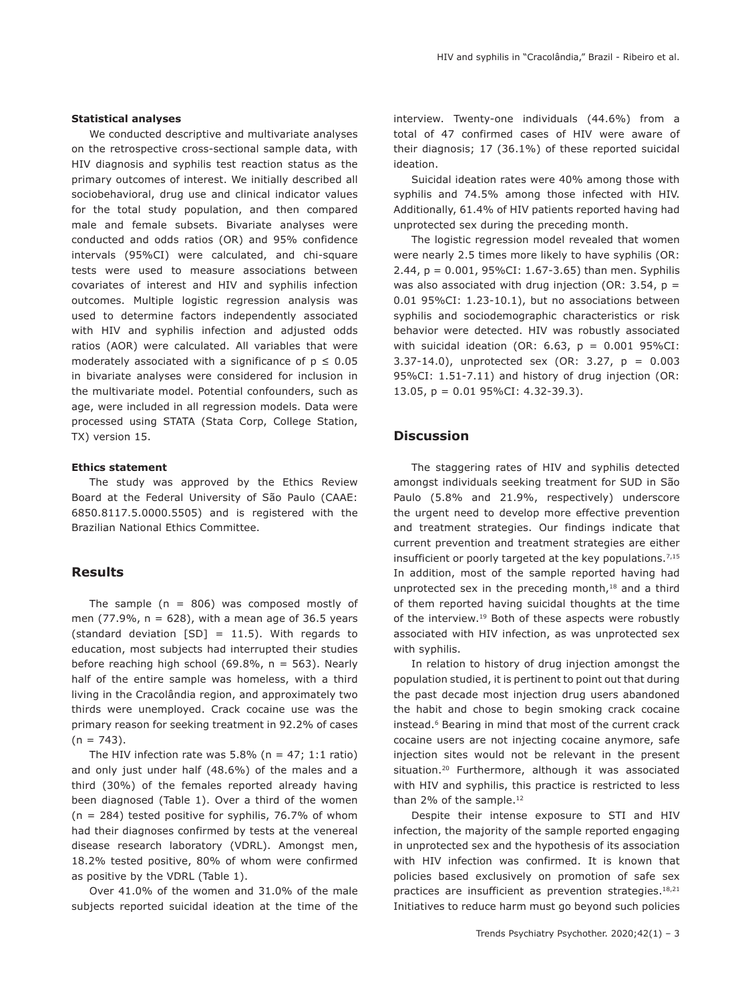We conducted descriptive and multivariate analyses on the retrospective cross-sectional sample data, with HIV diagnosis and syphilis test reaction status as the primary outcomes of interest. We initially described all sociobehavioral, drug use and clinical indicator values for the total study population, and then compared male and female subsets. Bivariate analyses were conducted and odds ratios (OR) and 95% confidence intervals (95%CI) were calculated, and chi-square tests were used to measure associations between covariates of interest and HIV and syphilis infection outcomes. Multiple logistic regression analysis was used to determine factors independently associated with HIV and syphilis infection and adjusted odds ratios (AOR) were calculated. All variables that were moderately associated with a significance of  $p \le 0.05$ in bivariate analyses were considered for inclusion in the multivariate model. Potential confounders, such as age, were included in all regression models. Data were processed using STATA (Stata Corp, College Station, TX) version 15.

### **Ethics statement**

The study was approved by the Ethics Review Board at the Federal University of São Paulo (CAAE: 6850.8117.5.0000.5505) and is registered with the Brazilian National Ethics Committee.

# **Results**

The sample ( $n = 806$ ) was composed mostly of men (77.9%,  $n = 628$ ), with a mean age of 36.5 years (standard deviation  $[SD] = 11.5$ ). With regards to education, most subjects had interrupted their studies before reaching high school (69.8%,  $n = 563$ ). Nearly half of the entire sample was homeless, with a third living in the Cracolândia region, and approximately two thirds were unemployed. Crack cocaine use was the primary reason for seeking treatment in 92.2% of cases  $(n = 743)$ .

The HIV infection rate was  $5.8\%$  (n = 47; 1:1 ratio) and only just under half (48.6%) of the males and a third (30%) of the females reported already having been diagnosed (Table 1). Over a third of the women ( $n = 284$ ) tested positive for syphilis, 76.7% of whom had their diagnoses confirmed by tests at the venereal disease research laboratory (VDRL). Amongst men, 18.2% tested positive, 80% of whom were confirmed as positive by the VDRL (Table 1).

Over 41.0% of the women and 31.0% of the male subjects reported suicidal ideation at the time of the interview. Twenty-one individuals (44.6%) from a total of 47 confirmed cases of HIV were aware of their diagnosis; 17 (36.1%) of these reported suicidal ideation.

Suicidal ideation rates were 40% among those with syphilis and 74.5% among those infected with HIV. Additionally, 61.4% of HIV patients reported having had unprotected sex during the preceding month.

The logistic regression model revealed that women were nearly 2.5 times more likely to have syphilis (OR: 2.44, p = 0.001, 95%CI: 1.67-3.65) than men. Syphilis was also associated with drug injection (OR: 3.54,  $p =$ 0.01 95%CI: 1.23-10.1), but no associations between syphilis and sociodemographic characteristics or risk behavior were detected. HIV was robustly associated with suicidal ideation (OR: 6.63,  $p = 0.001$  95%CI: 3.37-14.0), unprotected sex (OR: 3.27, p = 0.003 95%CI: 1.51-7.11) and history of drug injection (OR: 13.05, p = 0.01 95%CI: 4.32-39.3).

# **Discussion**

The staggering rates of HIV and syphilis detected amongst individuals seeking treatment for SUD in São Paulo (5.8% and 21.9%, respectively) underscore the urgent need to develop more effective prevention and treatment strategies. Our findings indicate that current prevention and treatment strategies are either insufficient or poorly targeted at the key populations.<sup>7,15</sup> In addition, most of the sample reported having had unprotected sex in the preceding month,<sup>18</sup> and a third of them reported having suicidal thoughts at the time of the interview.<sup>19</sup> Both of these aspects were robustly associated with HIV infection, as was unprotected sex with syphilis.

In relation to history of drug injection amongst the population studied, it is pertinent to point out that during the past decade most injection drug users abandoned the habit and chose to begin smoking crack cocaine instead.6 Bearing in mind that most of the current crack cocaine users are not injecting cocaine anymore, safe injection sites would not be relevant in the present situation.<sup>20</sup> Furthermore, although it was associated with HIV and syphilis, this practice is restricted to less than 2% of the sample.<sup>12</sup>

Despite their intense exposure to STI and HIV infection, the majority of the sample reported engaging in unprotected sex and the hypothesis of its association with HIV infection was confirmed. It is known that policies based exclusively on promotion of safe sex practices are insufficient as prevention strategies.<sup>18,21</sup> Initiatives to reduce harm must go beyond such policies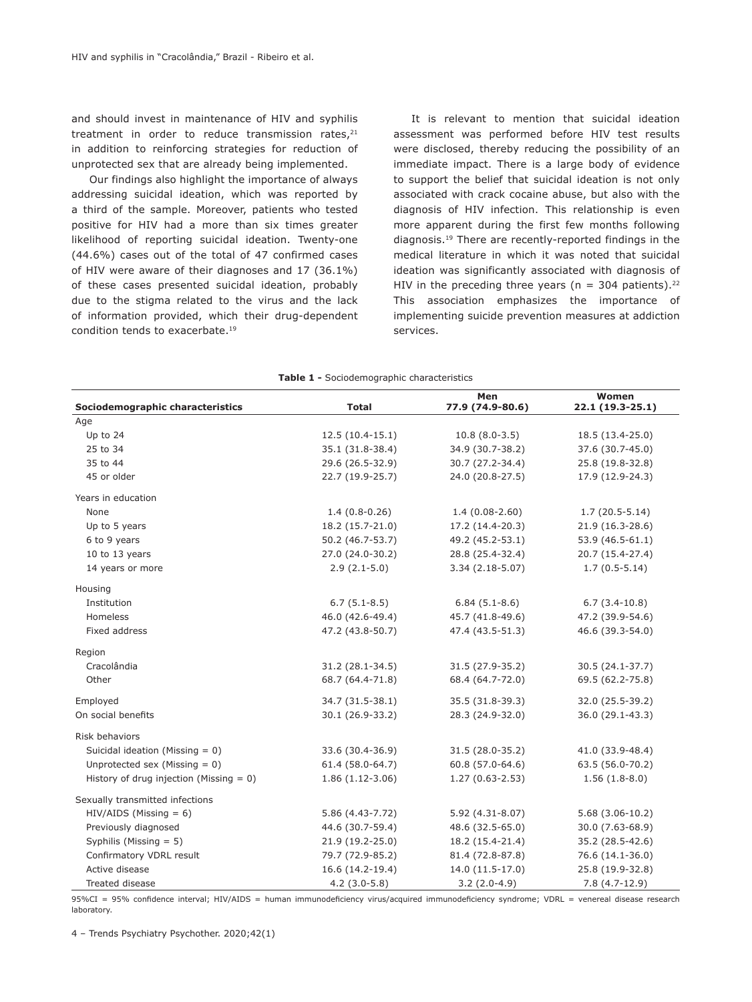and should invest in maintenance of HIV and syphilis treatment in order to reduce transmission rates. $21$ in addition to reinforcing strategies for reduction of unprotected sex that are already being implemented.

Our findings also highlight the importance of always addressing suicidal ideation, which was reported by a third of the sample. Moreover, patients who tested positive for HIV had a more than six times greater likelihood of reporting suicidal ideation. Twenty-one (44.6%) cases out of the total of 47 confirmed cases of HIV were aware of their diagnoses and 17 (36.1%) of these cases presented suicidal ideation, probably due to the stigma related to the virus and the lack of information provided, which their drug-dependent condition tends to exacerbate.19

It is relevant to mention that suicidal ideation assessment was performed before HIV test results were disclosed, thereby reducing the possibility of an immediate impact. There is a large body of evidence to support the belief that suicidal ideation is not only associated with crack cocaine abuse, but also with the diagnosis of HIV infection. This relationship is even more apparent during the first few months following diagnosis.19 There are recently-reported findings in the medical literature in which it was noted that suicidal ideation was significantly associated with diagnosis of HIV in the preceding three years ( $n = 304$  patients).<sup>22</sup> This association emphasizes the importance of implementing suicide prevention measures at addiction services.

| Sociodemographic characteristics           | <b>Total</b>      | Men<br>77.9 (74.9-80.6) | Women<br>22.1 (19.3-25.1) |
|--------------------------------------------|-------------------|-------------------------|---------------------------|
| Age                                        |                   |                         |                           |
| Up to 24                                   | $12.5(10.4-15.1)$ | $10.8(8.0-3.5)$         | 18.5 (13.4-25.0)          |
| 25 to 34                                   | 35.1 (31.8-38.4)  | 34.9 (30.7-38.2)        | 37.6 (30.7-45.0)          |
| 35 to 44                                   | 29.6 (26.5-32.9)  | 30.7 (27.2-34.4)        | 25.8 (19.8-32.8)          |
| 45 or older                                | 22.7 (19.9-25.7)  | 24.0 (20.8-27.5)        | 17.9 (12.9-24.3)          |
| Years in education                         |                   |                         |                           |
| None                                       | $1.4(0.8-0.26)$   | $1.4(0.08-2.60)$        | $1.7(20.5-5.14)$          |
| Up to 5 years                              | 18.2 (15.7-21.0)  | 17.2 (14.4-20.3)        | 21.9 (16.3-28.6)          |
| 6 to 9 years                               | 50.2 (46.7-53.7)  | 49.2 (45.2-53.1)        | 53.9 (46.5-61.1)          |
| 10 to 13 years                             | 27.0 (24.0-30.2)  | 28.8 (25.4-32.4)        | 20.7 (15.4-27.4)          |
| 14 years or more                           | $2.9(2.1-5.0)$    | $3.34(2.18-5.07)$       | $1.7(0.5-5.14)$           |
| Housing                                    |                   |                         |                           |
| Institution                                | $6.7(5.1-8.5)$    | $6.84(5.1-8.6)$         | $6.7(3.4-10.8)$           |
| <b>Homeless</b>                            | 46.0 (42.6-49.4)  | 45.7 (41.8-49.6)        | 47.2 (39.9-54.6)          |
| Fixed address                              | 47.2 (43.8-50.7)  | 47.4 (43.5-51.3)        | 46.6 (39.3-54.0)          |
| Region                                     |                   |                         |                           |
| Cracolândia                                | 31.2 (28.1-34.5)  | 31.5 (27.9-35.2)        | 30.5 (24.1-37.7)          |
| Other                                      | 68.7 (64.4-71.8)  | 68.4 (64.7-72.0)        | 69.5 (62.2-75.8)          |
| Employed                                   | 34.7 (31.5-38.1)  | 35.5 (31.8-39.3)        | 32.0 (25.5-39.2)          |
| On social benefits                         | 30.1 (26.9-33.2)  | 28.3 (24.9-32.0)        | 36.0 (29.1-43.3)          |
| Risk behaviors                             |                   |                         |                           |
| Suicidal ideation (Missing $= 0$ )         | 33.6 (30.4-36.9)  | 31.5 (28.0-35.2)        | 41.0 (33.9-48.4)          |
| Unprotected sex (Missing $= 0$ )           | 61.4 (58.0-64.7)  | 60.8 (57.0-64.6)        | 63.5 (56.0-70.2)          |
| History of drug injection (Missing $= 0$ ) | $1.86(1.12-3.06)$ | $1.27(0.63 - 2.53)$     | $1.56(1.8-8.0)$           |
| Sexually transmitted infections            |                   |                         |                           |
| $HIV/AIDS$ (Missing = 6)                   | 5.86 (4.43-7.72)  | 5.92 (4.31-8.07)        | $5.68(3.06-10.2)$         |
| Previously diagnosed                       | 44.6 (30.7-59.4)  | 48.6 (32.5-65.0)        | 30.0 (7.63-68.9)          |
| Syphilis (Missing $= 5$ )                  | 21.9 (19.2-25.0)  | 18.2 (15.4-21.4)        | 35.2 (28.5-42.6)          |
| Confirmatory VDRL result                   | 79.7 (72.9-85.2)  | 81.4 (72.8-87.8)        | 76.6 (14.1-36.0)          |
| Active disease                             | 16.6 (14.2-19.4)  | 14.0 (11.5-17.0)        | 25.8 (19.9-32.8)          |
| Treated disease                            | $4.2(3.0-5.8)$    | $3.2(2.0-4.9)$          | $7.8(4.7-12.9)$           |

**Table 1 -** Sociodemographic characteristics

95%CI = 95% confidence interval; HIV/AIDS = human immunodeficiency virus/acquired immunodeficiency syndrome; VDRL = venereal disease research laboratory.

4 – Trends Psychiatry Psychother. 2020;42(1)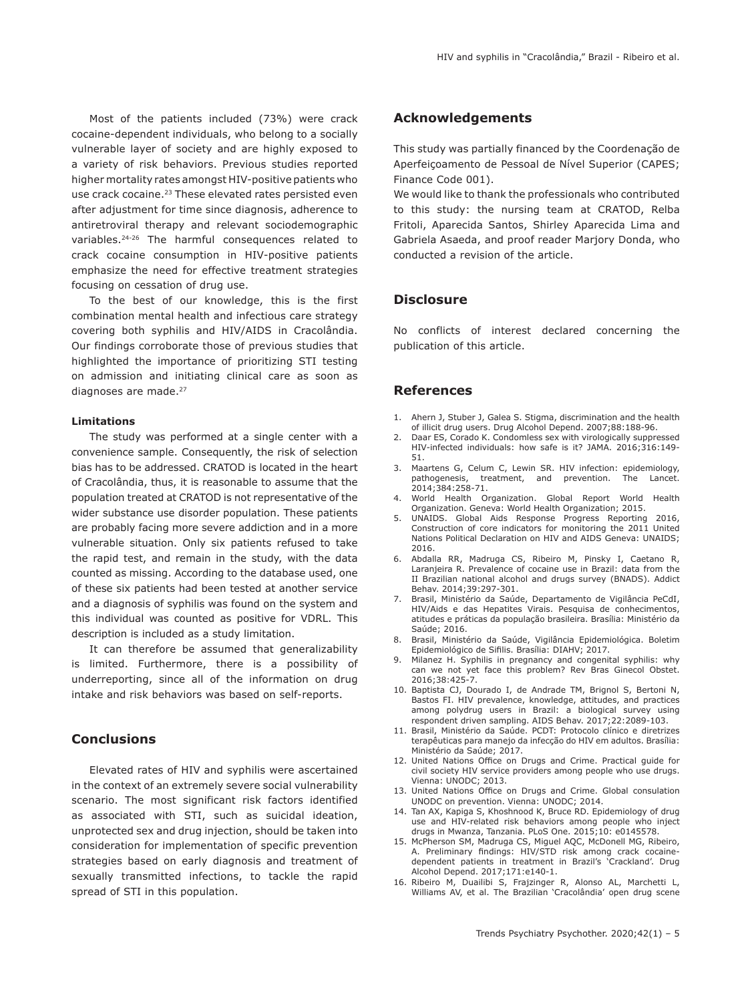Most of the patients included (73%) were crack cocaine-dependent individuals, who belong to a socially vulnerable layer of society and are highly exposed to a variety of risk behaviors. Previous studies reported higher mortality rates amongst HIV-positive patients who use crack cocaine.<sup>23</sup> These elevated rates persisted even after adjustment for time since diagnosis, adherence to antiretroviral therapy and relevant sociodemographic variables.24-26 The harmful consequences related to crack cocaine consumption in HIV-positive patients emphasize the need for effective treatment strategies focusing on cessation of drug use.

To the best of our knowledge, this is the first combination mental health and infectious care strategy covering both syphilis and HIV/AIDS in Cracolândia. Our findings corroborate those of previous studies that highlighted the importance of prioritizing STI testing on admission and initiating clinical care as soon as diagnoses are made.<sup>27</sup>

#### **Limitations**

The study was performed at a single center with a convenience sample. Consequently, the risk of selection bias has to be addressed. CRATOD is located in the heart of Cracolândia, thus, it is reasonable to assume that the population treated at CRATOD is not representative of the wider substance use disorder population. These patients are probably facing more severe addiction and in a more vulnerable situation. Only six patients refused to take the rapid test, and remain in the study, with the data counted as missing. According to the database used, one of these six patients had been tested at another service and a diagnosis of syphilis was found on the system and this individual was counted as positive for VDRL. This description is included as a study limitation.

It can therefore be assumed that generalizability is limited. Furthermore, there is a possibility of underreporting, since all of the information on drug intake and risk behaviors was based on self-reports.

# **Conclusions**

Elevated rates of HIV and syphilis were ascertained in the context of an extremely severe social vulnerability scenario. The most significant risk factors identified as associated with STI, such as suicidal ideation, unprotected sex and drug injection, should be taken into consideration for implementation of specific prevention strategies based on early diagnosis and treatment of sexually transmitted infections, to tackle the rapid spread of STI in this population.

## **Acknowledgements**

This study was partially financed by the Coordenação de Aperfeiçoamento de Pessoal de Nível Superior (CAPES; Finance Code 001).

We would like to thank the professionals who contributed to this study: the nursing team at CRATOD, Relba Fritoli, Aparecida Santos, Shirley Aparecida Lima and Gabriela Asaeda, and proof reader Marjory Donda, who conducted a revision of the article.

## **Disclosure**

No conflicts of interest declared concerning the publication of this article.

## **References**

- 1. Ahern J, Stuber J, Galea S. Stigma, discrimination and the health of illicit drug users. Drug Alcohol Depend. 2007;88:188-96.
- 2. Daar ES, Corado K. Condomless sex with virologically suppressed HIV-infected individuals: how safe is it? JAMA. 2016;316:149- 51.
- 3. Maartens G, Celum C, Lewin SR. HIV infection: epidemiology, pathogenesis, treatment, and prevention. 2014;384:258-71.
- 4. World Health Organization. Global Report World Health Organization. Geneva: World Health Organization; 2015.
- 5. UNAIDS. Global Aids Response Progress Reporting 2016, Construction of core indicators for monitoring the 2011 United Nations Political Declaration on HIV and AIDS Geneva: UNAIDS; 2016.
- 6. Abdalla RR, Madruga CS, Ribeiro M, Pinsky I, Caetano R, Laranjeira R. Prevalence of cocaine use in Brazil: data from the II Brazilian national alcohol and drugs survey (BNADS). Addict Behav. 2014;39:297-301.
- 7. Brasil, Ministério da Saúde, Departamento de Vigilância PeCdI, HIV/Aids e das Hepatites Virais. Pesquisa de conhecimentos, atitudes e práticas da população brasileira. Brasília: Ministério da Saúde; 2016.
- 8. Brasil, Ministério da Saúde, Vigilância Epidemiológica. Boletim Epidemiológico de Sifilis. Brasília: DIAHV; 2017.
- 9. Milanez H. Syphilis in pregnancy and congenital syphilis: why can we not yet face this problem? Rev Bras Ginecol Obstet. 2016;38:425-7.
- 10. Baptista CJ, Dourado I, de Andrade TM, Brignol S, Bertoni N, Bastos FI. HIV prevalence, knowledge, attitudes, and practices among polydrug users in Brazil: a biological survey using respondent driven sampling. AIDS Behav. 2017;22:2089-103.
- 11. Brasil, Ministério da Saúde. PCDT: Protocolo clínico e diretrizes terapêuticas para manejo da infecção do HIV em adultos. Brasília: Ministério da Saúde; 2017.
- 12. United Nations Office on Drugs and Crime. Practical guide for civil society HIV service providers among people who use drugs. Vienna: UNODC; 2013.
- 13. United Nations Office on Drugs and Crime. Global consulation UNODC on prevention. Vienna: UNODC; 2014.
- 14. Tan AX, Kapiga S, Khoshnood K, Bruce RD. Epidemiology of drug use and HIV-related risk behaviors among people who inject drugs in Mwanza, Tanzania. PLoS One. 2015;10: e0145578.
- 15. McPherson SM, Madruga CS, Miguel AQC, McDonell MG, Ribeiro, A. Preliminary findings: HIV/STD risk among crack cocainedependent patients in treatment in Brazil's 'Crackland'. Drug Alcohol Depend. 2017;171:e140-1.
- 16. Ribeiro M, Duailibi S, Frajzinger R, Alonso AL, Marchetti L, Williams AV, et al. The Brazilian 'Cracolândia' open drug scene